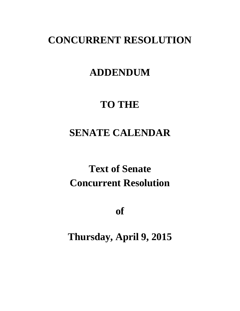## **CONCURRENT RESOLUTION**

### **ADDENDUM**

## **TO THE**

## **SENATE CALENDAR**

# **Text of Senate Concurrent Resolution**

**of**

**Thursday, April 9, 2015**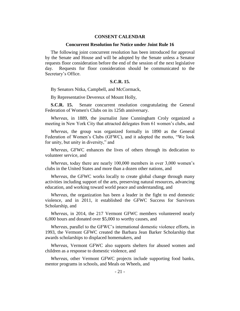### **CONSENT CALENDAR**

#### **Concurrent Resolution for Notice under Joint Rule 16**

The following joint concurrent resolution has been introduced for approval by the Senate and House and will be adopted by the Senate unless a Senator requests floor consideration before the end of the session of the next legislative day. Requests for floor consideration should be communicated to the Secretary's Office.

### **S.C.R. 15.**

By Senators Nitka, Campbell, and McCormack,

By Representative Devereux of Mount Holly,

**S.C.R. 15.** Senate concurrent resolution congratulating the General Federation of Women's Clubs on its 125th anniversary.

*Whereas*, in 1889, the journalist Jane Cunningham Croly organized a meeting in New York City that attracted delegates from 61 women's clubs, and

*Whereas*, the group was organized formally in 1890 as the General Federation of Women's Clubs (GFWC), and it adopted the motto, "We look for unity, but unity in diversity," and

*Whereas*, GFWC enhances the lives of others through its dedication to volunteer service, and

*Whereas*, today there are nearly 100,000 members in over 3,000 women's clubs in the United States and more than a dozen other nations, and

*Whereas*, the GFWC works locally to create global change through many activities including support of the arts, preserving natural resources, advancing education, and working toward world peace and understanding, and

*Whereas*, the organization has been a leader in the fight to end domestic violence, and in 2011, it established the GFWC Success for Survivors Scholarship, and

*Whereas*, in 2014, the 217 Vermont GFWC members volunteered nearly 6,000 hours and donated over \$5,000 to worthy causes, and

*Whereas*, parallel to the GFWC's international domestic violence efforts, in 1993, the Vermont GFWC created the Barbara Jean Barker Scholarship that awards scholarships to displaced homemakers, and

*Whereas*, Vermont GFWC also supports shelters for abused women and children as a response to domestic violence, and

*Whereas*, other Vermont GFWC projects include supporting food banks, mentor programs in schools, and Meals on Wheels, and